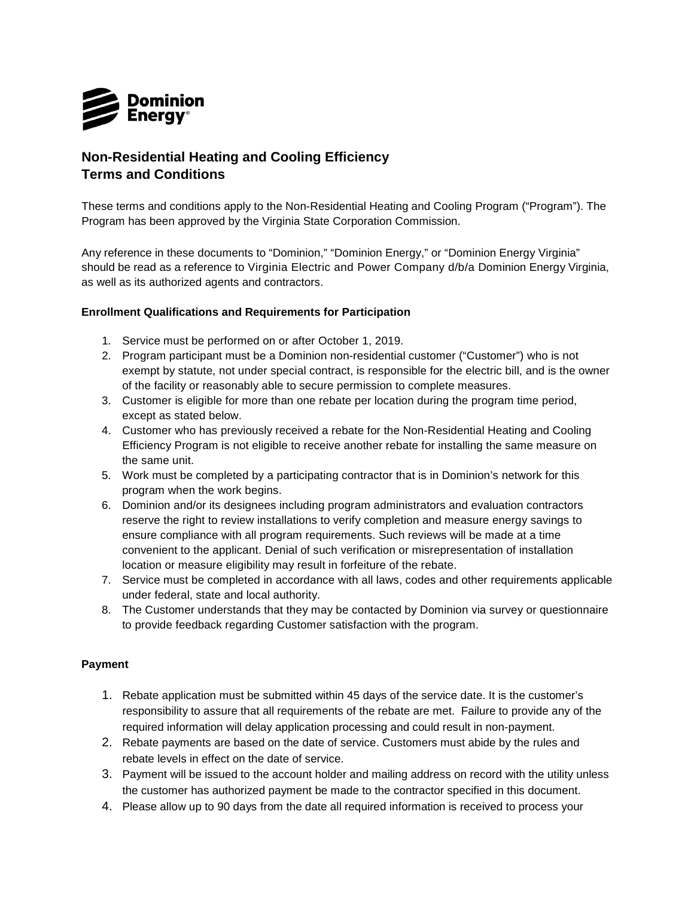

## **Non-Residential Heating and Cooling Efficiency Terms and Conditions**

These terms and conditions apply to the Non-Residential Heating and Cooling Program ("Program"). The Program has been approved by the Virginia State Corporation Commission.

Any reference in these documents to "Dominion," "Dominion Energy," or "Dominion Energy Virginia" should be read as a reference to Virginia Electric and Power Company d/b/a Dominion Energy Virginia, as well as its authorized agents and contractors.

## **Enrollment Qualifications and Requirements for Participation**

- 1. Service must be performed on or after October 1, 2019.
- 2. Program participant must be a Dominion non-residential customer ("Customer") who is not exempt by statute, not under special contract, is responsible for the electric bill, and is the owner of the facility or reasonably able to secure permission to complete measures.
- 3. Customer is eligible for more than one rebate per location during the program time period, except as stated below.
- 4. Customer who has previously received a rebate for the Non-Residential Heating and Cooling Efficiency Program is not eligible to receive another rebate for installing the same measure on the same unit.
- 5. Work must be completed by a participating contractor that is in Dominion's network for this program when the work begins.
- 6. Dominion and/or its designees including program administrators and evaluation contractors reserve the right to review installations to verify completion and measure energy savings to ensure compliance with all program requirements. Such reviews will be made at a time convenient to the applicant. Denial of such verification or misrepresentation of installation location or measure eligibility may result in forfeiture of the rebate.
- 7. Service must be completed in accordance with all laws, codes and other requirements applicable under federal, state and local authority.
- 8. The Customer understands that they may be contacted by Dominion via survey or questionnaire to provide feedback regarding Customer satisfaction with the program.

## **Payment**

- 1. Rebate application must be submitted within 45 days of the service date. It is the customer's responsibility to assure that all requirements of the rebate are met. Failure to provide any of the required information will delay application processing and could result in non-payment.
- 2. Rebate payments are based on the date of service. Customers must abide by the rules and rebate levels in effect on the date of service.
- 3. Payment will be issued to the account holder and mailing address on record with the utility unless the customer has authorized payment be made to the contractor specified in this document.
- 4. Please allow up to 90 days from the date all required information is received to process your